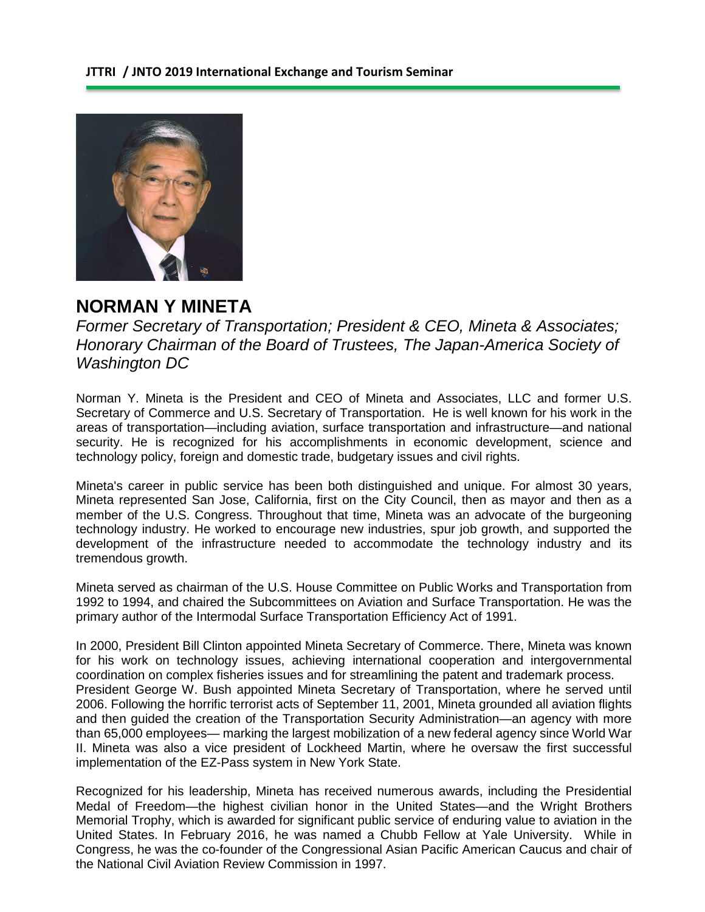

## **NORMAN Y MINETA**

*Former Secretary of Transportation; President & CEO, Mineta & Associates; Honorary Chairman of the Board of Trustees, The Japan-America Society of Washington DC*

Norman Y. Mineta is the President and CEO of Mineta and Associates, LLC and former U.S. Secretary of Commerce and U.S. Secretary of Transportation. He is well known for his work in the areas of transportation—including aviation, surface transportation and infrastructure—and national security. He is recognized for his accomplishments in economic development, science and technology policy, foreign and domestic trade, budgetary issues and civil rights.

Mineta's career in public service has been both distinguished and unique. For almost 30 years, Mineta represented San Jose, California, first on the City Council, then as mayor and then as a member of the U.S. Congress. Throughout that time, Mineta was an advocate of the burgeoning technology industry. He worked to encourage new industries, spur job growth, and supported the development of the infrastructure needed to accommodate the technology industry and its tremendous growth.

Mineta served as chairman of the U.S. House Committee on Public Works and Transportation from 1992 to 1994, and chaired the Subcommittees on Aviation and Surface Transportation. He was the primary author of the Intermodal Surface Transportation Efficiency Act of 1991.

In 2000, President Bill Clinton appointed Mineta Secretary of Commerce. There, Mineta was known for his work on technology issues, achieving international cooperation and intergovernmental coordination on complex fisheries issues and for streamlining the patent and trademark process. President George W. Bush appointed Mineta Secretary of Transportation, where he served until 2006. Following the horrific terrorist acts of September 11, 2001, Mineta grounded all aviation flights and then guided the creation of the Transportation Security Administration—an agency with more than 65,000 employees— marking the largest mobilization of a new federal agency since World War II. Mineta was also a vice president of Lockheed Martin, where he oversaw the first successful implementation of the EZ-Pass system in New York State.

Recognized for his leadership, Mineta has received numerous awards, including the Presidential Medal of Freedom—the highest civilian honor in the United States—and the Wright Brothers Memorial Trophy, which is awarded for significant public service of enduring value to aviation in the United States. In February 2016, he was named a Chubb Fellow at Yale University. While in Congress, he was the co-founder of the Congressional Asian Pacific American Caucus and chair of the National Civil Aviation Review Commission in 1997.